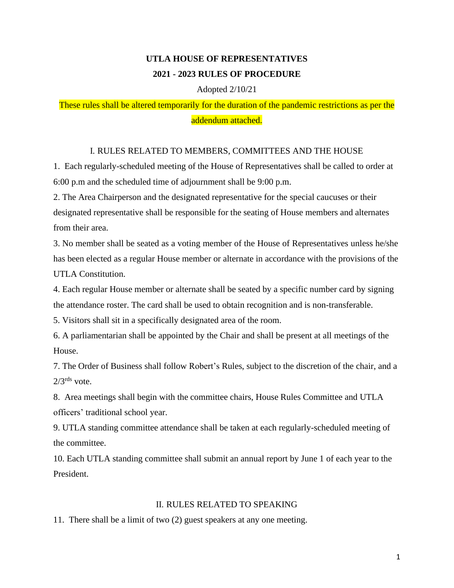# **UTLA HOUSE OF REPRESENTATIVES 2021 - 2023 RULES OF PROCEDURE**

## Adopted 2/10/21

These rules shall be altered temporarily for the duration of the pandemic restrictions as per the addendum attached.

## I. RULES RELATED TO MEMBERS, COMMITTEES AND THE HOUSE

1. Each regularly-scheduled meeting of the House of Representatives shall be called to order at 6:00 p.m and the scheduled time of adjournment shall be 9:00 p.m.

2. The Area Chairperson and the designated representative for the special caucuses or their designated representative shall be responsible for the seating of House members and alternates from their area.

3. No member shall be seated as a voting member of the House of Representatives unless he/she has been elected as a regular House member or alternate in accordance with the provisions of the UTLA Constitution.

4. Each regular House member or alternate shall be seated by a specific number card by signing the attendance roster. The card shall be used to obtain recognition and is non-transferable.

5. Visitors shall sit in a specifically designated area of the room.

6. A parliamentarian shall be appointed by the Chair and shall be present at all meetings of the House.

7. The Order of Business shall follow Robert's Rules, subject to the discretion of the chair, and a  $2/3^{rds}$  vote.

8. Area meetings shall begin with the committee chairs, House Rules Committee and UTLA officers' traditional school year.

9. UTLA standing committee attendance shall be taken at each regularly-scheduled meeting of the committee.

10. Each UTLA standing committee shall submit an annual report by June 1 of each year to the President.

## II. RULES RELATED TO SPEAKING

11. There shall be a limit of two (2) guest speakers at any one meeting.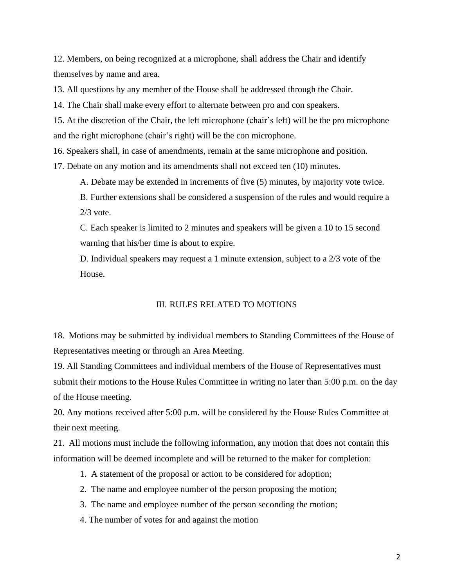12. Members, on being recognized at a microphone, shall address the Chair and identify themselves by name and area.

13. All questions by any member of the House shall be addressed through the Chair.

14. The Chair shall make every effort to alternate between pro and con speakers.

15. At the discretion of the Chair, the left microphone (chair's left) will be the pro microphone and the right microphone (chair's right) will be the con microphone.

16. Speakers shall, in case of amendments, remain at the same microphone and position.

17. Debate on any motion and its amendments shall not exceed ten (10) minutes.

A. Debate may be extended in increments of five (5) minutes, by majority vote twice.

B. Further extensions shall be considered a suspension of the rules and would require a  $2/3$  vote.

C. Each speaker is limited to 2 minutes and speakers will be given a 10 to 15 second warning that his/her time is about to expire.

D. Individual speakers may request a 1 minute extension, subject to a 2/3 vote of the House.

#### III. RULES RELATED TO MOTIONS

18. Motions may be submitted by individual members to Standing Committees of the House of Representatives meeting or through an Area Meeting.

19. All Standing Committees and individual members of the House of Representatives must submit their motions to the House Rules Committee in writing no later than 5:00 p.m. on the day of the House meeting.

20. Any motions received after 5:00 p.m. will be considered by the House Rules Committee at their next meeting.

21. All motions must include the following information, any motion that does not contain this information will be deemed incomplete and will be returned to the maker for completion:

- 1. A statement of the proposal or action to be considered for adoption;
- 2. The name and employee number of the person proposing the motion;
- 3. The name and employee number of the person seconding the motion;
- 4. The number of votes for and against the motion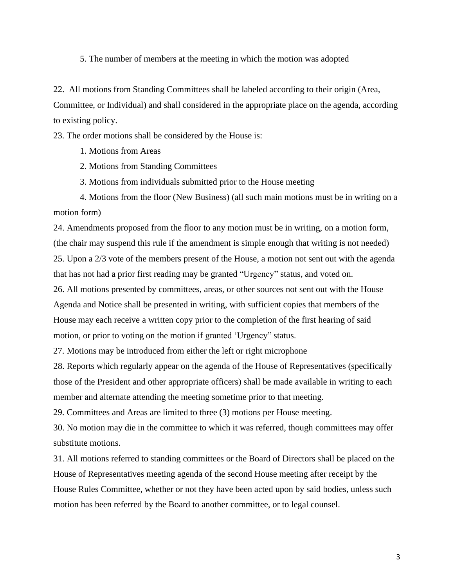5. The number of members at the meeting in which the motion was adopted

22. All motions from Standing Committees shall be labeled according to their origin (Area, Committee, or Individual) and shall considered in the appropriate place on the agenda, according to existing policy.

23. The order motions shall be considered by the House is:

- 1. Motions from Areas
- 2. Motions from Standing Committees
- 3. Motions from individuals submitted prior to the House meeting

4. Motions from the floor (New Business) (all such main motions must be in writing on a motion form)

24. Amendments proposed from the floor to any motion must be in writing, on a motion form, (the chair may suspend this rule if the amendment is simple enough that writing is not needed) 25. Upon a 2/3 vote of the members present of the House, a motion not sent out with the agenda that has not had a prior first reading may be granted "Urgency" status, and voted on.

26. All motions presented by committees, areas, or other sources not sent out with the House Agenda and Notice shall be presented in writing, with sufficient copies that members of the House may each receive a written copy prior to the completion of the first hearing of said motion, or prior to voting on the motion if granted 'Urgency" status.

27. Motions may be introduced from either the left or right microphone

28. Reports which regularly appear on the agenda of the House of Representatives (specifically those of the President and other appropriate officers) shall be made available in writing to each member and alternate attending the meeting sometime prior to that meeting.

29. Committees and Areas are limited to three (3) motions per House meeting.

30. No motion may die in the committee to which it was referred, though committees may offer substitute motions.

31. All motions referred to standing committees or the Board of Directors shall be placed on the House of Representatives meeting agenda of the second House meeting after receipt by the House Rules Committee, whether or not they have been acted upon by said bodies, unless such motion has been referred by the Board to another committee, or to legal counsel.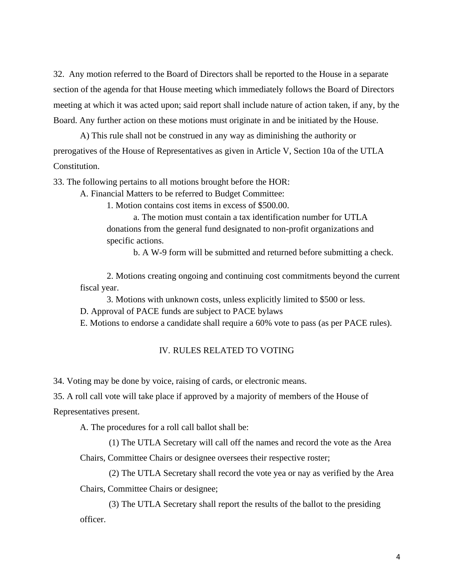32. Any motion referred to the Board of Directors shall be reported to the House in a separate section of the agenda for that House meeting which immediately follows the Board of Directors meeting at which it was acted upon; said report shall include nature of action taken, if any, by the Board. Any further action on these motions must originate in and be initiated by the House.

A) This rule shall not be construed in any way as diminishing the authority or prerogatives of the House of Representatives as given in Article V, Section 10a of the UTLA Constitution.

33. The following pertains to all motions brought before the HOR:

A. Financial Matters to be referred to Budget Committee:

1. Motion contains cost items in excess of \$500.00.

a. The motion must contain a tax identification number for UTLA donations from the general fund designated to non-profit organizations and specific actions.

b. A W-9 form will be submitted and returned before submitting a check.

2. Motions creating ongoing and continuing cost commitments beyond the current fiscal year.

3. Motions with unknown costs, unless explicitly limited to \$500 or less.

D. Approval of PACE funds are subject to PACE bylaws

E. Motions to endorse a candidate shall require a 60% vote to pass (as per PACE rules).

#### IV. RULES RELATED TO VOTING

34. Voting may be done by voice, raising of cards, or electronic means.

35. A roll call vote will take place if approved by a majority of members of the House of

Representatives present.

A. The procedures for a roll call ballot shall be:

(1) The UTLA Secretary will call off the names and record the vote as the Area

Chairs, Committee Chairs or designee oversees their respective roster;

(2) The UTLA Secretary shall record the vote yea or nay as verified by the Area Chairs, Committee Chairs or designee;

(3) The UTLA Secretary shall report the results of the ballot to the presiding officer.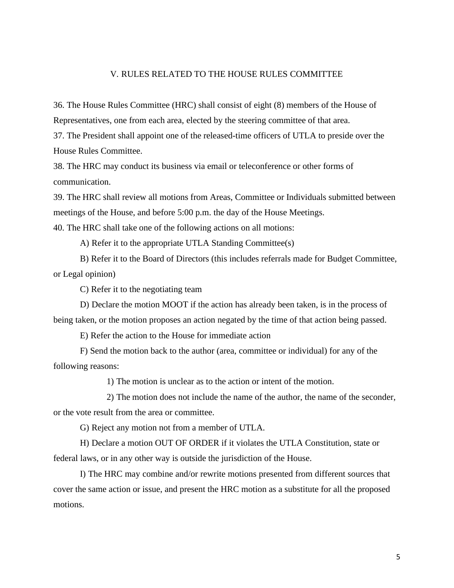### V. RULES RELATED TO THE HOUSE RULES COMMITTEE

36. The House Rules Committee (HRC) shall consist of eight (8) members of the House of Representatives, one from each area, elected by the steering committee of that area.

37. The President shall appoint one of the released-time officers of UTLA to preside over the House Rules Committee.

38. The HRC may conduct its business via email or teleconference or other forms of communication.

39. The HRC shall review all motions from Areas, Committee or Individuals submitted between meetings of the House, and before 5:00 p.m. the day of the House Meetings.

40. The HRC shall take one of the following actions on all motions:

A) Refer it to the appropriate UTLA Standing Committee(s)

B) Refer it to the Board of Directors (this includes referrals made for Budget Committee, or Legal opinion)

C) Refer it to the negotiating team

D) Declare the motion MOOT if the action has already been taken, is in the process of being taken, or the motion proposes an action negated by the time of that action being passed.

E) Refer the action to the House for immediate action

F) Send the motion back to the author (area, committee or individual) for any of the following reasons:

1) The motion is unclear as to the action or intent of the motion.

2) The motion does not include the name of the author, the name of the seconder, or the vote result from the area or committee.

G) Reject any motion not from a member of UTLA.

H) Declare a motion OUT OF ORDER if it violates the UTLA Constitution, state or federal laws, or in any other way is outside the jurisdiction of the House.

I) The HRC may combine and/or rewrite motions presented from different sources that cover the same action or issue, and present the HRC motion as a substitute for all the proposed motions.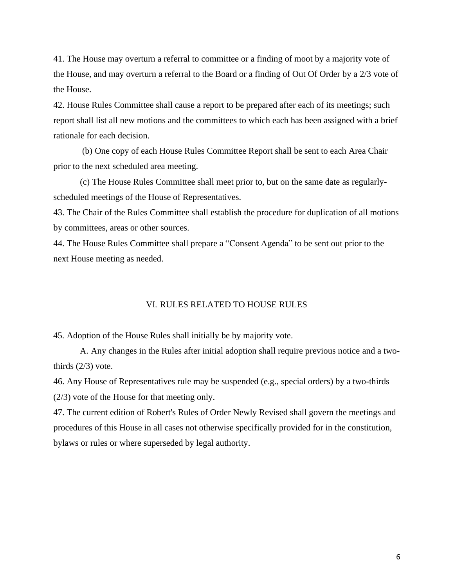41. The House may overturn a referral to committee or a finding of moot by a majority vote of the House, and may overturn a referral to the Board or a finding of Out Of Order by a 2/3 vote of the House.

42. House Rules Committee shall cause a report to be prepared after each of its meetings; such report shall list all new motions and the committees to which each has been assigned with a brief rationale for each decision.

(b) One copy of each House Rules Committee Report shall be sent to each Area Chair prior to the next scheduled area meeting.

(c) The House Rules Committee shall meet prior to, but on the same date as regularlyscheduled meetings of the House of Representatives.

43. The Chair of the Rules Committee shall establish the procedure for duplication of all motions by committees, areas or other sources.

44. The House Rules Committee shall prepare a "Consent Agenda" to be sent out prior to the next House meeting as needed.

#### VI. RULES RELATED TO HOUSE RULES

45. Adoption of the House Rules shall initially be by majority vote.

A. Any changes in the Rules after initial adoption shall require previous notice and a twothirds  $(2/3)$  vote.

46. Any House of Representatives rule may be suspended (e.g., special orders) by a two-thirds (2/3) vote of the House for that meeting only.

47. The current edition of Robert's Rules of Order Newly Revised shall govern the meetings and procedures of this House in all cases not otherwise specifically provided for in the constitution, bylaws or rules or where superseded by legal authority.